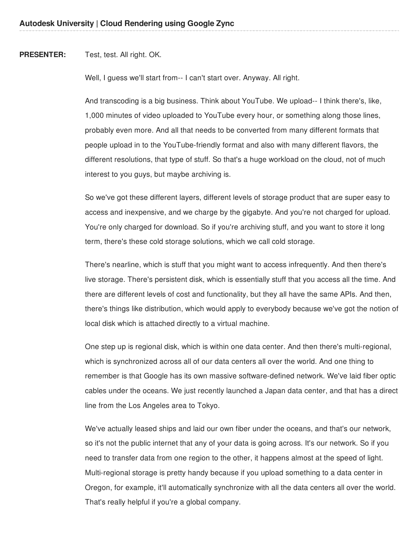**PRESENTER:** Test, test. All right. OK.

Well, I guess we'll start from-- I can't start over. Anyway. All right.

And transcoding is a big business. Think about YouTube. We upload-- I think there's, like, 1,000 minutes of video uploaded to YouTube every hour, or something along those lines, probably even more. And all that needs to be converted from many different formats that people upload in to the YouTube-friendly format and also with many different flavors, the different resolutions, that type of stuff. So that's a huge workload on the cloud, not of much interest to you guys, but maybe archiving is.

So we've got these different layers, different levels of storage product that are super easy to access and inexpensive, and we charge by the gigabyte. And you're not charged for upload. You're only charged for download. So if you're archiving stuff, and you want to store it long term, there's these cold storage solutions, which we call cold storage.

There's nearline, which is stuff that you might want to access infrequently. And then there's live storage. There's persistent disk, which is essentially stuff that you access all the time. And there are different levels of cost and functionality, but they all have the same APIs. And then, there's things like distribution, which would apply to everybody because we've got the notion of local disk which is attached directly to a virtual machine.

One step up is regional disk, which is within one data center. And then there's multi-regional, which is synchronized across all of our data centers all over the world. And one thing to remember is that Google has its own massive software-defined network. We've laid fiber optic cables under the oceans. We just recently launched a Japan data center, and that has a direct line from the Los Angeles area to Tokyo.

We've actually leased ships and laid our own fiber under the oceans, and that's our network, so it's not the public internet that any of your data is going across. It's our network. So if you need to transfer data from one region to the other, it happens almost at the speed of light. Multi-regional storage is pretty handy because if you upload something to a data center in Oregon, for example, it'll automatically synchronize with all the data centers all over the world. That's really helpful if you're a global company.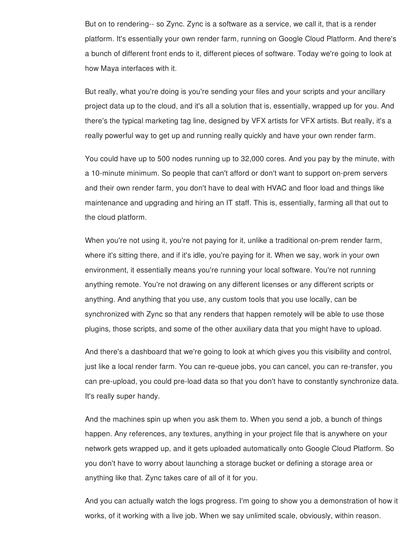But on to rendering-- so Zync. Zync is a software as a service, we call it, that is a render platform. It's essentially your own render farm, running on Google Cloud Platform. And there's a bunch of different front ends to it, different pieces of software. Today we're going to look at how Maya interfaces with it.

But really, what you're doing is you're sending your files and your scripts and your ancillary project data up to the cloud, and it's all a solution that is, essentially, wrapped up for you. And there's the typical marketing tag line, designed by VFX artists for VFX artists. But really, it's a really powerful way to get up and running really quickly and have your own render farm.

You could have up to 500 nodes running up to 32,000 cores. And you pay by the minute, with a 10-minute minimum. So people that can't afford or don't want to support on-prem servers and their own render farm, you don't have to deal with HVAC and floor load and things like maintenance and upgrading and hiring an IT staff. This is, essentially, farming all that out to the cloud platform.

When you're not using it, you're not paying for it, unlike a traditional on-prem render farm, where it's sitting there, and if it's idle, you're paying for it. When we say, work in your own environment, it essentially means you're running your local software. You're not running anything remote. You're not drawing on any different licenses or any different scripts or anything. And anything that you use, any custom tools that you use locally, can be synchronized with Zync so that any renders that happen remotely will be able to use those plugins, those scripts, and some of the other auxiliary data that you might have to upload.

And there's a dashboard that we're going to look at which gives you this visibility and control, just like a local render farm. You can re-queue jobs, you can cancel, you can re-transfer, you can pre-upload, you could pre-load data so that you don't have to constantly synchronize data. It's really super handy.

And the machines spin up when you ask them to. When you send a job, a bunch of things happen. Any references, any textures, anything in your project file that is anywhere on your network gets wrapped up, and it gets uploaded automatically onto Google Cloud Platform. So you don't have to worry about launching a storage bucket or defining a storage area or anything like that. Zync takes care of all of it for you.

And you can actually watch the logs progress. I'm going to show you a demonstration of how it works, of it working with a live job. When we say unlimited scale, obviously, within reason.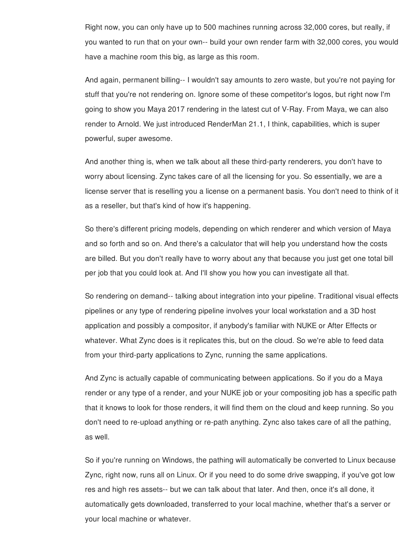Right now, you can only have up to 500 machines running across 32,000 cores, but really, if you wanted to run that on your own-- build your own render farm with 32,000 cores, you would have a machine room this big, as large as this room.

And again, permanent billing-- I wouldn't say amounts to zero waste, but you're not paying for stuff that you're not rendering on. Ignore some of these competitor's logos, but right now I'm going to show you Maya 2017 rendering in the latest cut of V-Ray. From Maya, we can also render to Arnold. We just introduced RenderMan 21.1, I think, capabilities, which is super powerful, super awesome.

And another thing is, when we talk about all these third-party renderers, you don't have to worry about licensing. Zync takes care of all the licensing for you. So essentially, we are a license server that is reselling you a license on a permanent basis. You don't need to think of it as a reseller, but that's kind of how it's happening.

So there's different pricing models, depending on which renderer and which version of Maya and so forth and so on. And there's a calculator that will help you understand how the costs are billed. But you don't really have to worry about any that because you just get one total bill per job that you could look at. And I'll show you how you can investigate all that.

So rendering on demand-- talking about integration into your pipeline. Traditional visual effects pipelines or any type of rendering pipeline involves your local workstation and a 3D host application and possibly a compositor, if anybody's familiar with NUKE or After Effects or whatever. What Zync does is it replicates this, but on the cloud. So we're able to feed data from your third-party applications to Zync, running the same applications.

And Zync is actually capable of communicating between applications. So if you do a Maya render or any type of a render, and your NUKE job or your compositing job has a specific path that it knows to look for those renders, it will find them on the cloud and keep running. So you don't need to re-upload anything or re-path anything. Zync also takes care of all the pathing, as well.

So if you're running on Windows, the pathing will automatically be converted to Linux because Zync, right now, runs all on Linux. Or if you need to do some drive swapping, if you've got low res and high res assets-- but we can talk about that later. And then, once it's all done, it automatically gets downloaded, transferred to your local machine, whether that's a server or your local machine or whatever.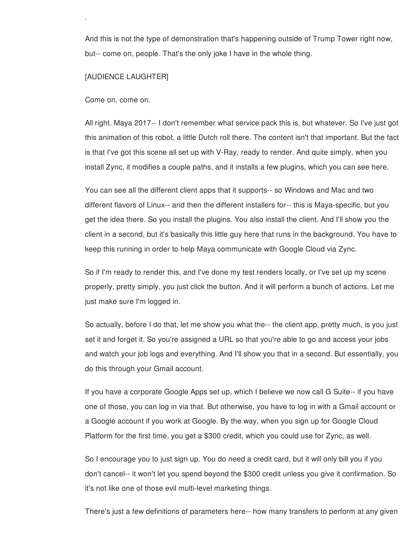And this is not the type of demonstration that's happening outside of Trump Tower right now, but-- come on, people. That's the only joke I have in the whole thing.

## [AUDIENCE LAUGHTER]

your local machine or whatever.

Come on, come on.

All right. Maya 2017-- I don't remember what service pack this is, but whatever. So I've just got this animation of this robot, a little Dutch roll there. The content isn't that important. But the fact is that I've got this scene all set up with V-Ray, ready to render. And quite simply, when you install Zync, it modifies a couple paths, and it installs a few plugins, which you can see here.

You can see all the different client apps that it supports-- so Windows and Mac and two different flavors of Linux-- and then the different installers for-- this is Maya-specific, but you get the idea there. So you install the plugins. You also install the client. And I'll show you the client in a second, but it's basically this little guy here that runs in the background. You have to keep this running in order to help Maya communicate with Google Cloud via Zync.

So if I'm ready to render this, and I've done my test renders locally, or I've set up my scene properly, pretty simply, you just click the button. And it will perform a bunch of actions. Let me just make sure I'm logged in.

So actually, before I do that, let me show you what the-- the client app, pretty much, is you just set it and forget it. So you're assigned a URL so that you're able to go and access your jobs and watch your job logs and everything. And I'll show you that in a second. But essentially, you do this through your Gmail account.

If you have a corporate Google Apps set up, which I believe we now call G Suite-- if you have one of those, you can log in via that. But otherwise, you have to log in with a Gmail account or a Google account if you work at Google. By the way, when you sign up for Google Cloud Platform for the first time, you get a \$300 credit, which you could use for Zync, as well.

So I encourage you to just sign up. You do need a credit card, but it will only bill you if you don't cancel-- it won't let you spend beyond the \$300 credit unless you give it confirmation. So it's not like one of those evil multi-level marketing things.

There's just a few definitions of parameters here-- how many transfers to perform at any given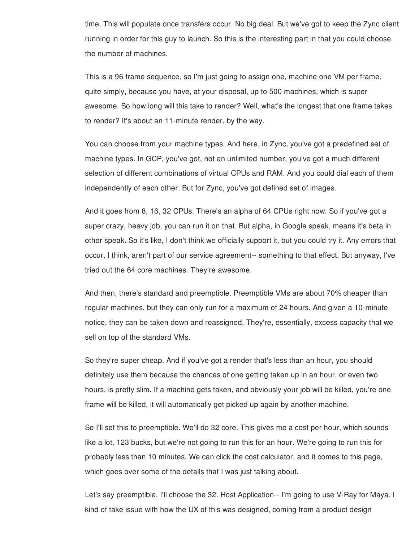time. This will populate once transfers occur. No big deal. But we've got to keep the Zync client running in order for this guy to launch. So this is the interesting part in that you could choose the number of machines.

This is a 96 frame sequence, so I'm just going to assign one, machine one VM per frame, quite simply, because you have, at your disposal, up to 500 machines, which is super awesome. So how long will this take to render? Well, what's the longest that one frame takes to render? It's about an 11-minute render, by the way.

You can choose from your machine types. And here, in Zync, you've got a predefined set of machine types. In GCP, you've got, not an unlimited number, you've got a much different selection of different combinations of virtual CPUs and RAM. And you could dial each of them independently of each other. But for Zync, you've got defined set of images.

And it goes from 8, 16, 32 CPUs. There's an alpha of 64 CPUs right now. So if you've got a super crazy, heavy job, you can run it on that. But alpha, in Google speak, means it's beta in other speak. So it's like, I don't think we officially support it, but you could try it. Any errors that occur, I think, aren't part of our service agreement-- something to that effect. But anyway, I've tried out the 64 core machines. They're awesome.

And then, there's standard and preemptible. Preemptible VMs are about 70% cheaper than regular machines, but they can only run for a maximum of 24 hours. And given a 10-minute notice, they can be taken down and reassigned. They're, essentially, excess capacity that we sell on top of the standard VMs.

So they're super cheap. And if you've got a render that's less than an hour, you should definitely use them because the chances of one getting taken up in an hour, or even two hours, is pretty slim. If a machine gets taken, and obviously your job will be killed, you're one frame will be killed, it will automatically get picked up again by another machine.

So I'll set this to preemptible. We'll do 32 core. This gives me a cost per hour, which sounds like a lot, 123 bucks, but we're not going to run this for an hour. We're going to run this for probably less than 10 minutes. We can click the cost calculator, and it comes to this page, which goes over some of the details that I was just talking about.

Let's say preemptible. I'll choose the 32. Host Application-- I'm going to use V-Ray for Maya. I kind of take issue with how the UX of this was designed, coming from a product design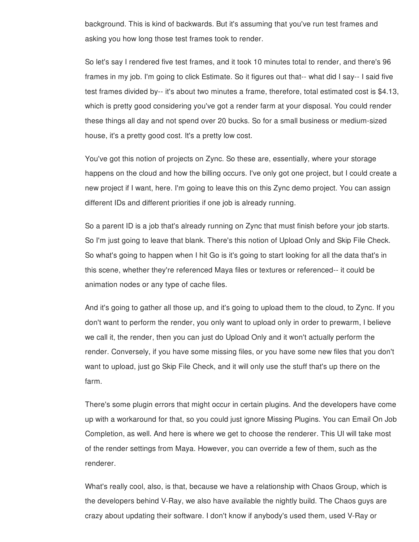background. This is kind of backwards. But it's assuming that you've run test frames and asking you how long those test frames took to render.

So let's say I rendered five test frames, and it took 10 minutes total to render, and there's 96 frames in my job. I'm going to click Estimate. So it figures out that-- what did I say-- I said five test frames divided by-- it's about two minutes a frame, therefore, total estimated cost is \$4.13, which is pretty good considering you've got a render farm at your disposal. You could render these things all day and not spend over 20 bucks. So for a small business or medium-sized house, it's a pretty good cost. It's a pretty low cost.

You've got this notion of projects on Zync. So these are, essentially, where your storage happens on the cloud and how the billing occurs. I've only got one project, but I could create a new project if I want, here. I'm going to leave this on this Zync demo project. You can assign different IDs and different priorities if one job is already running.

So a parent ID is a job that's already running on Zync that must finish before your job starts. So I'm just going to leave that blank. There's this notion of Upload Only and Skip File Check. So what's going to happen when I hit Go is it's going to start looking for all the data that's in this scene, whether they're referenced Maya files or textures or referenced-- it could be animation nodes or any type of cache files.

And it's going to gather all those up, and it's going to upload them to the cloud, to Zync. If you don't want to perform the render, you only want to upload only in order to prewarm, I believe we call it, the render, then you can just do Upload Only and it won't actually perform the render. Conversely, if you have some missing files, or you have some new files that you don't want to upload, just go Skip File Check, and it will only use the stuff that's up there on the farm.

There's some plugin errors that might occur in certain plugins. And the developers have come up with a workaround for that, so you could just ignore Missing Plugins. You can Email On Job Completion, as well. And here is where we get to choose the renderer. This UI will take most of the render settings from Maya. However, you can override a few of them, such as the renderer.

What's really cool, also, is that, because we have a relationship with Chaos Group, which is the developers behind V-Ray, we also have available the nightly build. The Chaos guys are crazy about updating their software. I don't know if anybody's used them, used V-Ray or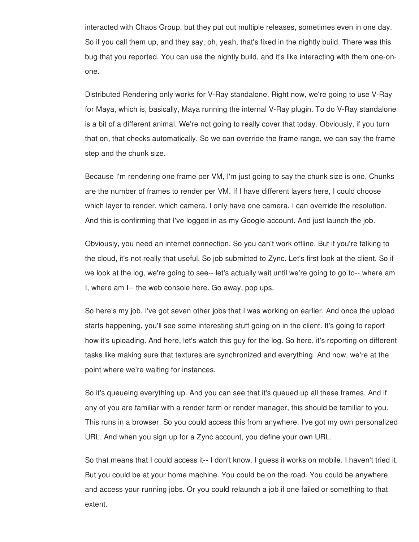interacted with Chaos Group, but they put out multiple releases, sometimes even in one day. So if you call them up, and they say, oh, yeah, that's fixed in the nightly build. There was this bug that you reported. You can use the nightly build, and it's like interacting with them one-onone.

Distributed Rendering only works for V-Ray standalone. Right now, we're going to use V-Ray for Maya, which is, basically, Maya running the internal V-Ray plugin. To do V-Ray standalone is a bit of a different animal. We're not going to really cover that today. Obviously, if you turn that on, that checks automatically. So we can override the frame range, we can say the frame step and the chunk size.

Because I'm rendering one frame per VM, I'm just going to say the chunk size is one. Chunks are the number of frames to render per VM. If I have different layers here, I could choose which layer to render, which camera. I only have one camera. I can override the resolution. And this is confirming that I've logged in as my Google account. And just launch the job.

Obviously, you need an internet connection. So you can't work offline. But if you're talking to the cloud, it's not really that useful. So job submitted to Zync. Let's first look at the client. So if we look at the log, we're going to see-- let's actually wait until we're going to go to-- where am I, where am I-- the web console here. Go away, pop ups.

So here's my job. I've got seven other jobs that I was working on earlier. And once the upload starts happening, you'll see some interesting stuff going on in the client. It's going to report how it's uploading. And here, let's watch this guy for the log. So here, it's reporting on different tasks like making sure that textures are synchronized and everything. And now, we're at the point where we're waiting for instances.

So it's queueing everything up. And you can see that it's queued up all these frames. And if any of you are familiar with a render farm or render manager, this should be familiar to you. This runs in a browser. So you could access this from anywhere. I've got my own personalized URL. And when you sign up for a Zync account, you define your own URL.

So that means that I could access it-- I don't know. I guess it works on mobile. I haven't tried it. But you could be at your home machine. You could be on the road. You could be anywhere and access your running jobs. Or you could relaunch a job if one failed or something to that extent.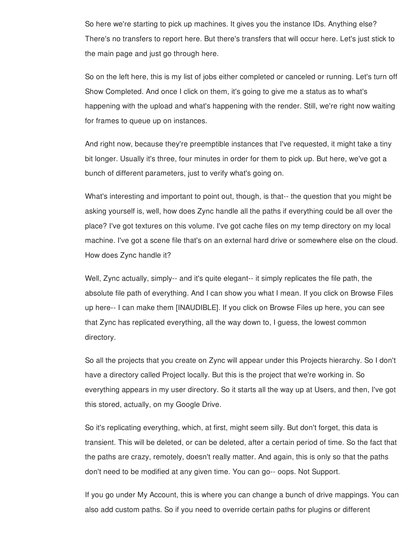So here we're starting to pick up machines. It gives you the instance IDs. Anything else? There's no transfers to report here. But there's transfers that will occur here. Let's just stick to the main page and just go through here.

So on the left here, this is my list of jobs either completed or canceled or running. Let's turn off Show Completed. And once I click on them, it's going to give me a status as to what's happening with the upload and what's happening with the render. Still, we're right now waiting for frames to queue up on instances.

And right now, because they're preemptible instances that I've requested, it might take a tiny bit longer. Usually it's three, four minutes in order for them to pick up. But here, we've got a bunch of different parameters, just to verify what's going on.

What's interesting and important to point out, though, is that-- the question that you might be asking yourself is, well, how does Zync handle all the paths if everything could be all over the place? I've got textures on this volume. I've got cache files on my temp directory on my local machine. I've got a scene file that's on an external hard drive or somewhere else on the cloud. How does Zync handle it?

Well, Zync actually, simply-- and it's quite elegant-- it simply replicates the file path, the absolute file path of everything. And I can show you what I mean. If you click on Browse Files up here-- I can make them [INAUDIBLE]. If you click on Browse Files up here, you can see that Zync has replicated everything, all the way down to, I guess, the lowest common directory.

So all the projects that you create on Zync will appear under this Projects hierarchy. So I don't have a directory called Project locally. But this is the project that we're working in. So everything appears in my user directory. So it starts all the way up at Users, and then, I've got this stored, actually, on my Google Drive.

So it's replicating everything, which, at first, might seem silly. But don't forget, this data is transient. This will be deleted, or can be deleted, after a certain period of time. So the fact that the paths are crazy, remotely, doesn't really matter. And again, this is only so that the paths don't need to be modified at any given time. You can go-- oops. Not Support.

If you go under My Account, this is where you can change a bunch of drive mappings. You can also add custom paths. So if you need to override certain paths for plugins or different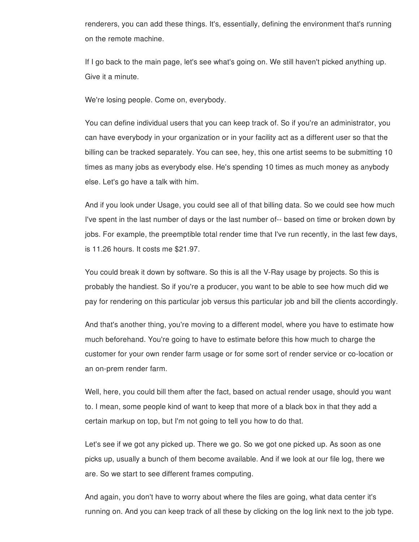renderers, you can add these things. It's, essentially, defining the environment that's running on the remote machine.

If I go back to the main page, let's see what's going on. We still haven't picked anything up. Give it a minute.

We're losing people. Come on, everybody.

You can define individual users that you can keep track of. So if you're an administrator, you can have everybody in your organization or in your facility act as a different user so that the billing can be tracked separately. You can see, hey, this one artist seems to be submitting 10 times as many jobs as everybody else. He's spending 10 times as much money as anybody else. Let's go have a talk with him.

And if you look under Usage, you could see all of that billing data. So we could see how much I've spent in the last number of days or the last number of-- based on time or broken down by jobs. For example, the preemptible total render time that I've run recently, in the last few days, is 11.26 hours. It costs me \$21.97.

You could break it down by software. So this is all the V-Ray usage by projects. So this is probably the handiest. So if you're a producer, you want to be able to see how much did we pay for rendering on this particular job versus this particular job and bill the clients accordingly.

And that's another thing, you're moving to a different model, where you have to estimate how much beforehand. You're going to have to estimate before this how much to charge the customer for your own render farm usage or for some sort of render service or co-location or an on-prem render farm.

Well, here, you could bill them after the fact, based on actual render usage, should you want to. I mean, some people kind of want to keep that more of a black box in that they add a certain markup on top, but I'm not going to tell you how to do that.

Let's see if we got any picked up. There we go. So we got one picked up. As soon as one picks up, usually a bunch of them become available. And if we look at our file log, there we are. So we start to see different frames computing.

And again, you don't have to worry about where the files are going, what data center it's running on. And you can keep track of all these by clicking on the log link next to the job type.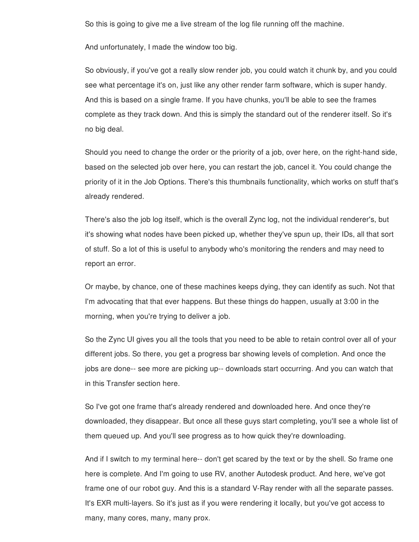So this is going to give me a live stream of the log file running off the machine.

And unfortunately, I made the window too big.

So obviously, if you've got a really slow render job, you could watch it chunk by, and you could see what percentage it's on, just like any other render farm software, which is super handy. And this is based on a single frame. If you have chunks, you'll be able to see the frames complete as they track down. And this is simply the standard out of the renderer itself. So it's no big deal.

Should you need to change the order or the priority of a job, over here, on the right-hand side, based on the selected job over here, you can restart the job, cancel it. You could change the priority of it in the Job Options. There's this thumbnails functionality, which works on stuff that's already rendered.

There's also the job log itself, which is the overall Zync log, not the individual renderer's, but it's showing what nodes have been picked up, whether they've spun up, their IDs, all that sort of stuff. So a lot of this is useful to anybody who's monitoring the renders and may need to report an error.

Or maybe, by chance, one of these machines keeps dying, they can identify as such. Not that I'm advocating that that ever happens. But these things do happen, usually at 3:00 in the morning, when you're trying to deliver a job.

So the Zync UI gives you all the tools that you need to be able to retain control over all of your different jobs. So there, you get a progress bar showing levels of completion. And once the jobs are done-- see more are picking up-- downloads start occurring. And you can watch that in this Transfer section here.

So I've got one frame that's already rendered and downloaded here. And once they're downloaded, they disappear. But once all these guys start completing, you'll see a whole list of them queued up. And you'll see progress as to how quick they're downloading.

And if I switch to my terminal here-- don't get scared by the text or by the shell. So frame one here is complete. And I'm going to use RV, another Autodesk product. And here, we've got frame one of our robot guy. And this is a standard V-Ray render with all the separate passes. It's EXR multi-layers. So it's just as if you were rendering it locally, but you've got access to many, many cores, many, many prox.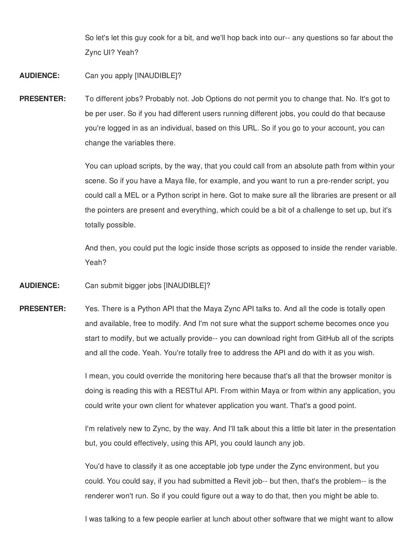So let's let this guy cook for a bit, and we'll hop back into our-- any questions so far about the Zync UI? Yeah?

## **AUDIENCE:** Can you apply [INAUDIBLE]?

**PRESENTER:** To different jobs? Probably not. Job Options do not permit you to change that. No. It's got to be per user. So if you had different users running different jobs, you could do that because you're logged in as an individual, based on this URL. So if you go to your account, you can change the variables there.

> You can upload scripts, by the way, that you could call from an absolute path from within your scene. So if you have a Maya file, for example, and you want to run a pre-render script, you could call a MEL or a Python script in here. Got to make sure all the libraries are present or all the pointers are present and everything, which could be a bit of a challenge to set up, but it's totally possible.

> And then, you could put the logic inside those scripts as opposed to inside the render variable. Yeah?

- **AUDIENCE:** Can submit bigger jobs [INAUDIBLE]?
- **PRESENTER:** Yes. There is a Python API that the Maya Zync API talks to. And all the code is totally open and available, free to modify. And I'm not sure what the support scheme becomes once you start to modify, but we actually provide-- you can download right from GitHub all of the scripts and all the code. Yeah. You're totally free to address the API and do with it as you wish.

I mean, you could override the monitoring here because that's all that the browser monitor is doing is reading this with a RESTful API. From within Maya or from within any application, you could write your own client for whatever application you want. That's a good point.

I'm relatively new to Zync, by the way. And I'll talk about this a little bit later in the presentation but, you could effectively, using this API, you could launch any job.

You'd have to classify it as one acceptable job type under the Zync environment, but you could. You could say, if you had submitted a Revit job-- but then, that's the problem-- is the renderer won't run. So if you could figure out a way to do that, then you might be able to.

I was talking to a few people earlier at lunch about other software that we might want to allow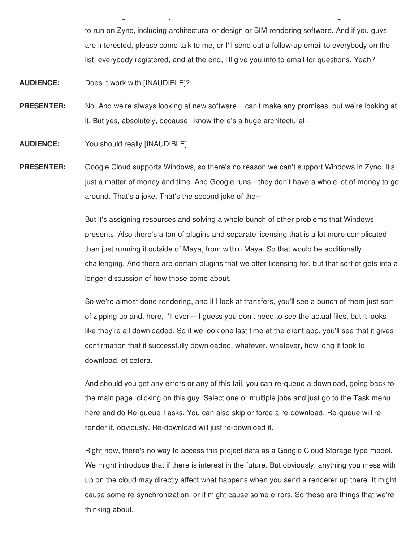to run on Zync, including architectural or design or BIM rendering software. And if you guys are interested, please come talk to me, or I'll send out a follow-up email to everybody on the list, everybody registered, and at the end, I'll give you info to email for questions. Yeah?

I was talking to a few people earlier at lunch about other software that we might want to allow

**AUDIENCE:** Does it work with [INAUDIBLE]?

- **PRESENTER:** No. And we're always looking at new software. I can't make any promises, but we're looking at it. But yes, absolutely, because I know there's a huge architectural--
- **AUDIENCE:** You should really [INAUDIBLE].
- **PRESENTER:** Google Cloud supports Windows, so there's no reason we can't support Windows in Zync. It's just a matter of money and time. And Google runs-- they don't have a whole lot of money to go around. That's a joke. That's the second joke of the--

But it's assigning resources and solving a whole bunch of other problems that Windows presents. Also there's a ton of plugins and separate licensing that is a lot more complicated than just running it outside of Maya, from within Maya. So that would be additionally challenging. And there are certain plugins that we offer licensing for, but that sort of gets into a longer discussion of how those come about.

So we're almost done rendering, and if I look at transfers, you'll see a bunch of them just sort of zipping up and, here, I'll even-- I guess you don't need to see the actual files, but it looks like they're all downloaded. So if we look one last time at the client app, you'll see that it gives confirmation that it successfully downloaded, whatever, whatever, how long it took to download, et cetera.

And should you get any errors or any of this fail, you can re-queue a download, going back to the main page, clicking on this guy. Select one or multiple jobs and just go to the Task menu here and do Re-queue Tasks. You can also skip or force a re-download. Re-queue will rerender it, obviously. Re-download will just re-download it.

Right now, there's no way to access this project data as a Google Cloud Storage type model. We might introduce that if there is interest in the future. But obviously, anything you mess with up on the cloud may directly affect what happens when you send a renderer up there. It might cause some re-synchronization, or it might cause some errors. So these are things that we're thinking about.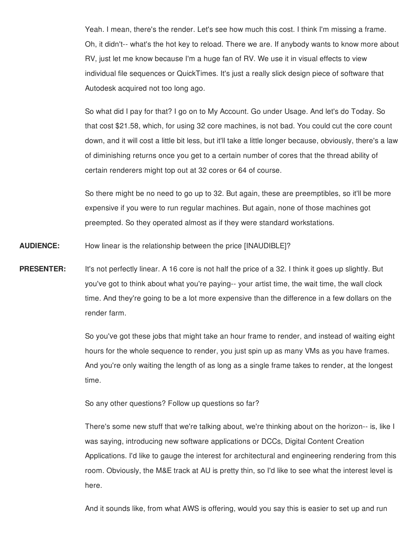Yeah. I mean, there's the render. Let's see how much this cost. I think I'm missing a frame. Oh, it didn't-- what's the hot key to reload. There we are. If anybody wants to know more about RV, just let me know because I'm a huge fan of RV. We use it in visual effects to view individual file sequences or QuickTimes. It's just a really slick design piece of software that Autodesk acquired not too long ago.

So what did I pay for that? I go on to My Account. Go under Usage. And let's do Today. So that cost \$21.58, which, for using 32 core machines, is not bad. You could cut the core count down, and it will cost a little bit less, but it'll take a little longer because, obviously, there's a law of diminishing returns once you get to a certain number of cores that the thread ability of certain renderers might top out at 32 cores or 64 of course.

So there might be no need to go up to 32. But again, these are preemptibles, so it'll be more expensive if you were to run regular machines. But again, none of those machines got preempted. So they operated almost as if they were standard workstations.

**AUDIENCE:** How linear is the relationship between the price [INAUDIBLE]?

**PRESENTER:** It's not perfectly linear. A 16 core is not half the price of a 32. I think it goes up slightly. But you've got to think about what you're paying-- your artist time, the wait time, the wall clock time. And they're going to be a lot more expensive than the difference in a few dollars on the render farm.

> So you've got these jobs that might take an hour frame to render, and instead of waiting eight hours for the whole sequence to render, you just spin up as many VMs as you have frames. And you're only waiting the length of as long as a single frame takes to render, at the longest time.

So any other questions? Follow up questions so far?

There's some new stuff that we're talking about, we're thinking about on the horizon-- is, like I was saying, introducing new software applications or DCCs, Digital Content Creation Applications. I'd like to gauge the interest for architectural and engineering rendering from this room. Obviously, the M&E track at AU is pretty thin, so I'd like to see what the interest level is here.

And it sounds like, from what AWS is offering, would you say this is easier to set up and run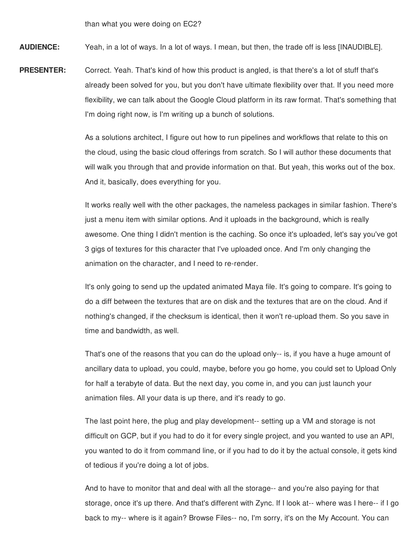than what you were doing on EC2?

**AUDIENCE:** Yeah, in a lot of ways. In a lot of ways. I mean, but then, the trade off is less [INAUDIBLE].

**PRESENTER:** Correct. Yeah. That's kind of how this product is angled, is that there's a lot of stuff that's already been solved for you, but you don't have ultimate flexibility over that. If you need more flexibility, we can talk about the Google Cloud platform in its raw format. That's something that I'm doing right now, is I'm writing up a bunch of solutions.

> As a solutions architect, I figure out how to run pipelines and workflows that relate to this on the cloud, using the basic cloud offerings from scratch. So I will author these documents that will walk you through that and provide information on that. But yeah, this works out of the box. And it, basically, does everything for you.

> It works really well with the other packages, the nameless packages in similar fashion. There's just a menu item with similar options. And it uploads in the background, which is really awesome. One thing I didn't mention is the caching. So once it's uploaded, let's say you've got 3 gigs of textures for this character that I've uploaded once. And I'm only changing the animation on the character, and I need to re-render.

It's only going to send up the updated animated Maya file. It's going to compare. It's going to do a diff between the textures that are on disk and the textures that are on the cloud. And if nothing's changed, if the checksum is identical, then it won't re-upload them. So you save in time and bandwidth, as well.

That's one of the reasons that you can do the upload only-- is, if you have a huge amount of ancillary data to upload, you could, maybe, before you go home, you could set to Upload Only for half a terabyte of data. But the next day, you come in, and you can just launch your animation files. All your data is up there, and it's ready to go.

The last point here, the plug and play development-- setting up a VM and storage is not difficult on GCP, but if you had to do it for every single project, and you wanted to use an API, you wanted to do it from command line, or if you had to do it by the actual console, it gets kind of tedious if you're doing a lot of jobs.

And to have to monitor that and deal with all the storage-- and you're also paying for that storage, once it's up there. And that's different with Zync. If I look at-- where was I here-- if I go back to my-- where is it again? Browse Files-- no, I'm sorry, it's on the My Account. You can